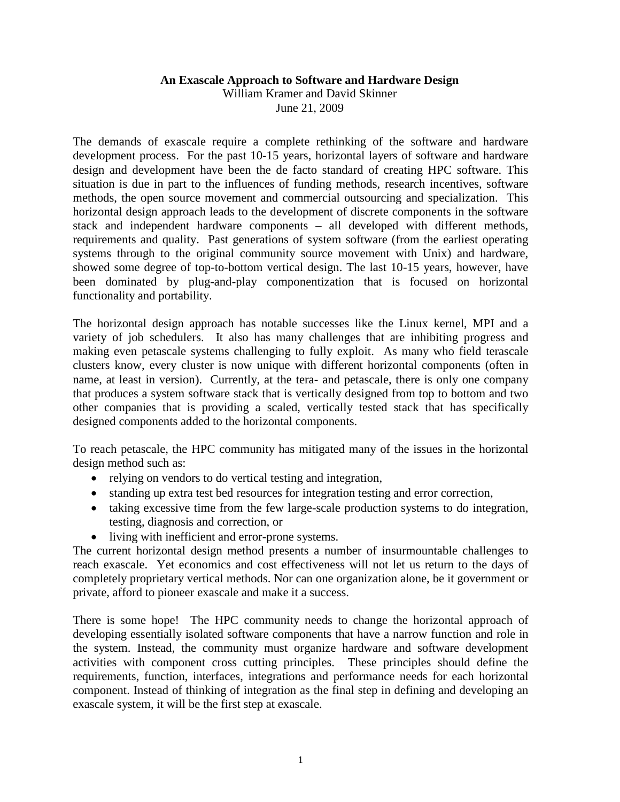## **An Exascale Approach to Software and Hardware Design**

William Kramer and David Skinner June 21, 2009

The demands of exascale require a complete rethinking of the software and hardware development process. For the past 10-15 years, horizontal layers of software and hardware design and development have been the de facto standard of creating HPC software. This situation is due in part to the influences of funding methods, research incentives, software methods, the open source movement and commercial outsourcing and specialization. This horizontal design approach leads to the development of discrete components in the software stack and independent hardware components – all developed with different methods, requirements and quality. Past generations of system software (from the earliest operating systems through to the original community source movement with Unix) and hardware, showed some degree of top-to-bottom vertical design. The last 10-15 years, however, have been dominated by plug-and-play componentization that is focused on horizontal functionality and portability.

The horizontal design approach has notable successes like the Linux kernel, MPI and a variety of job schedulers. It also has many challenges that are inhibiting progress and making even petascale systems challenging to fully exploit. As many who field terascale clusters know, every cluster is now unique with different horizontal components (often in name, at least in version). Currently, at the tera- and petascale, there is only one company that produces a system software stack that is vertically designed from top to bottom and two other companies that is providing a scaled, vertically tested stack that has specifically designed components added to the horizontal components.

To reach petascale, the HPC community has mitigated many of the issues in the horizontal design method such as:

- relying on vendors to do vertical testing and integration,
- standing up extra test bed resources for integration testing and error correction,
- taking excessive time from the few large-scale production systems to do integration, testing, diagnosis and correction, or
- living with inefficient and error-prone systems.

The current horizontal design method presents a number of insurmountable challenges to reach exascale. Yet economics and cost effectiveness will not let us return to the days of completely proprietary vertical methods. Nor can one organization alone, be it government or private, afford to pioneer exascale and make it a success.

There is some hope! The HPC community needs to change the horizontal approach of developing essentially isolated software components that have a narrow function and role in the system. Instead, the community must organize hardware and software development activities with component cross cutting principles. These principles should define the requirements, function, interfaces, integrations and performance needs for each horizontal component. Instead of thinking of integration as the final step in defining and developing an exascale system, it will be the first step at exascale.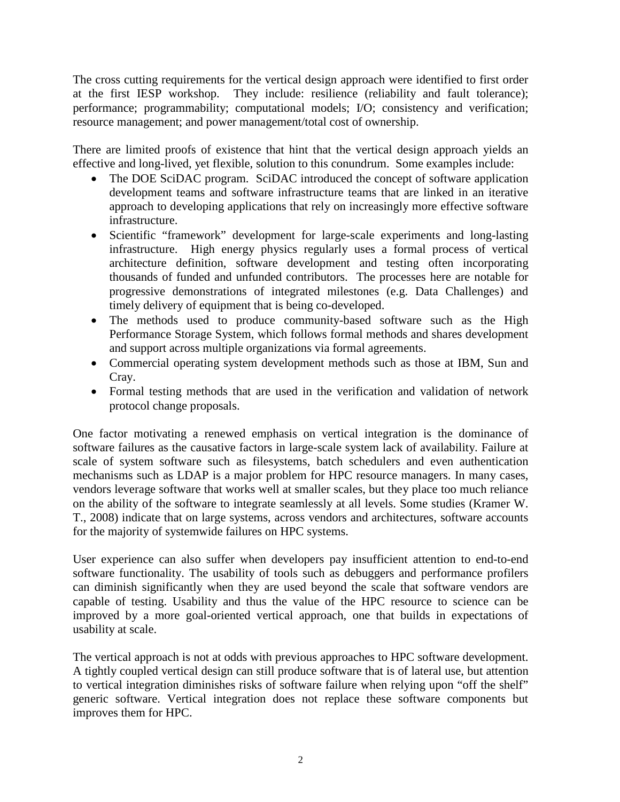The cross cutting requirements for the vertical design approach were identified to first order at the first IESP workshop. They include: resilience (reliability and fault tolerance); performance; programmability; computational models; I/O; consistency and verification; resource management; and power management/total cost of ownership.

There are limited proofs of existence that hint that the vertical design approach yields an effective and long-lived, yet flexible, solution to this conundrum. Some examples include:

- The DOE SciDAC program. SciDAC introduced the concept of software application development teams and software infrastructure teams that are linked in an iterative approach to developing applications that rely on increasingly more effective software infrastructure.
- Scientific "framework" development for large-scale experiments and long-lasting infrastructure. High energy physics regularly uses a formal process of vertical architecture definition, software development and testing often incorporating thousands of funded and unfunded contributors. The processes here are notable for progressive demonstrations of integrated milestones (e.g. Data Challenges) and timely delivery of equipment that is being co-developed.
- The methods used to produce community-based software such as the High Performance Storage System, which follows formal methods and shares development and support across multiple organizations via formal agreements.
- Commercial operating system development methods such as those at IBM, Sun and Cray.
- Formal testing methods that are used in the verification and validation of network protocol change proposals.

One factor motivating a renewed emphasis on vertical integration is the dominance of software failures as the causative factors in large-scale system lack of availability. Failure at scale of system software such as filesystems, batch schedulers and even authentication mechanisms such as LDAP is a major problem for HPC resource managers. In many cases, vendors leverage software that works well at smaller scales, but they place too much reliance on the ability of the software to integrate seamlessly at all levels. Some studies (Kramer W. T., 2008) indicate that on large systems, across vendors and architectures, software accounts for the majority of systemwide failures on HPC systems.

User experience can also suffer when developers pay insufficient attention to end-to-end software functionality. The usability of tools such as debuggers and performance profilers can diminish significantly when they are used beyond the scale that software vendors are capable of testing. Usability and thus the value of the HPC resource to science can be improved by a more goal-oriented vertical approach, one that builds in expectations of usability at scale.

The vertical approach is not at odds with previous approaches to HPC software development. A tightly coupled vertical design can still produce software that is of lateral use, but attention to vertical integration diminishes risks of software failure when relying upon "off the shelf" generic software. Vertical integration does not replace these software components but improves them for HPC.